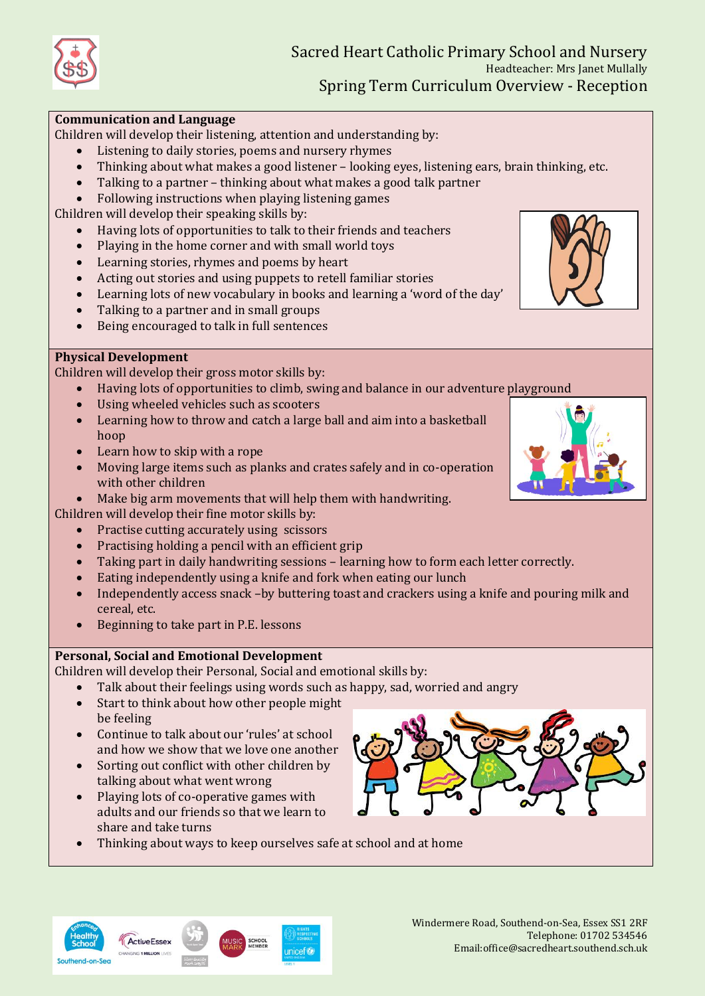

### **Communication and Language**

Children will develop their listening, attention and understanding by:

- Listening to daily stories, poems and nursery rhymes
- Thinking about what makes a good listener looking eyes, listening ears, brain thinking, etc.
- Talking to a partner thinking about what makes a good talk partner
- Following instructions when playing listening games

Children will develop their speaking skills by:

- Having lots of opportunities to talk to their friends and teachers
- Playing in the home corner and with small world toys
- Learning stories, rhymes and poems by heart
- Acting out stories and using puppets to retell familiar stories
- Learning lots of new vocabulary in books and learning a 'word of the day'
- Talking to a partner and in small groups
- Being encouraged to talk in full sentences

## **Physical Development**

Children will develop their gross motor skills by:

- Having lots of opportunities to climb, swing and balance in our adventure playground
- Using wheeled vehicles such as scooters
- Learning how to throw and catch a large ball and aim into a basketball hoop
- Learn how to skip with a rope
- Moving large items such as planks and crates safely and in co-operation with other children
- Make big arm movements that will help them with handwriting.
- Children will develop their fine motor skills by:
	- Practise cutting accurately using scissors
	- Practising holding a pencil with an efficient grip
	- Taking part in daily handwriting sessions learning how to form each letter correctly.
	- Eating independently using a knife and fork when eating our lunch
	- Independently access snack –by buttering toast and crackers using a knife and pouring milk and cereal, etc.
	- Beginning to take part in P.E. lessons

# **Personal, Social and Emotional Development**

Children will develop their Personal, Social and emotional skills by:

- Talk about their feelings using words such as happy, sad, worried and angry
- Start to think about how other people might be feeling
- Continue to talk about our 'rules' at school and how we show that we love one another
- Sorting out conflict with other children by talking about what went wrong
- Playing lots of co-operative games with adults and our friends so that we learn to share and take turns
- Thinking about ways to keep ourselves safe at school and at home







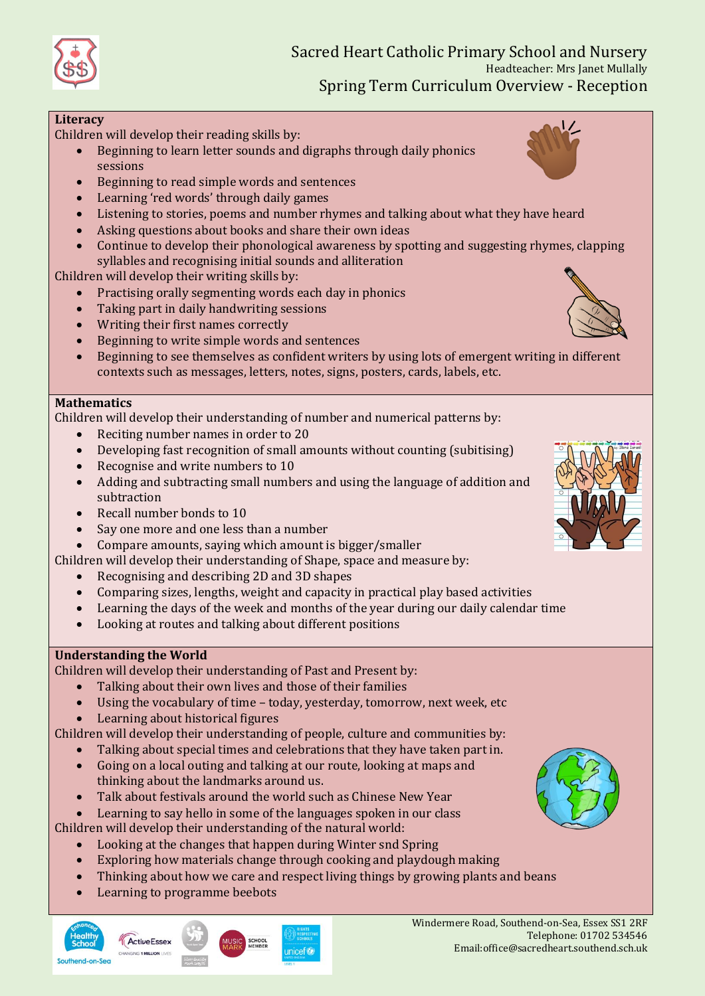

### **Literacy**

Children will develop their reading skills by:

- Beginning to learn letter sounds and digraphs through daily phonics sessions
- Beginning to read simple words and sentences
- Learning 'red words' through daily games
- Listening to stories, poems and number rhymes and talking about what they have heard
- Asking questions about books and share their own ideas
- Continue to develop their phonological awareness by spotting and suggesting rhymes, clapping syllables and recognising initial sounds and alliteration

Children will develop their writing skills by:

- Practising orally segmenting words each day in phonics
- Taking part in daily handwriting sessions
- Writing their first names correctly
- Beginning to write simple words and sentences
- Beginning to see themselves as confident writers by using lots of emergent writing in different contexts such as messages, letters, notes, signs, posters, cards, labels, etc.

#### **Mathematics**

Children will develop their understanding of number and numerical patterns by:

- Reciting number names in order to 20
- Developing fast recognition of small amounts without counting (subitising)
- Recognise and write numbers to 10
- Adding and subtracting small numbers and using the language of addition and subtraction
- Recall number bonds to 10
- Say one more and one less than a number
- Compare amounts, saying which amount is bigger/smaller
- Children will develop their understanding of Shape, space and measure by:
	- Recognising and describing 2D and 3D shapes
	- Comparing sizes, lengths, weight and capacity in practical play based activities
	- Learning the days of the week and months of the year during our daily calendar time
	- Looking at routes and talking about different positions

# **Understanding the World**

Children will develop their understanding of Past and Present by:

- Talking about their own lives and those of their families
- Using the vocabulary of time today, yesterday, tomorrow, next week, etc
- Learning about historical figures

Children will develop their understanding of people, culture and communities by:

- Talking about special times and celebrations that they have taken part in.
- Going on a local outing and talking at our route, looking at maps and thinking about the landmarks around us.
- Talk about festivals around the world such as Chinese New Year
- Learning to say hello in some of the languages spoken in our class

Children will develop their understanding of the natural world:

- Looking at the changes that happen during Winter snd Spring
- Exploring how materials change through cooking and playdough making
- Thinking about how we care and respect living things by growing plants and beans
- Learning to programme beebots